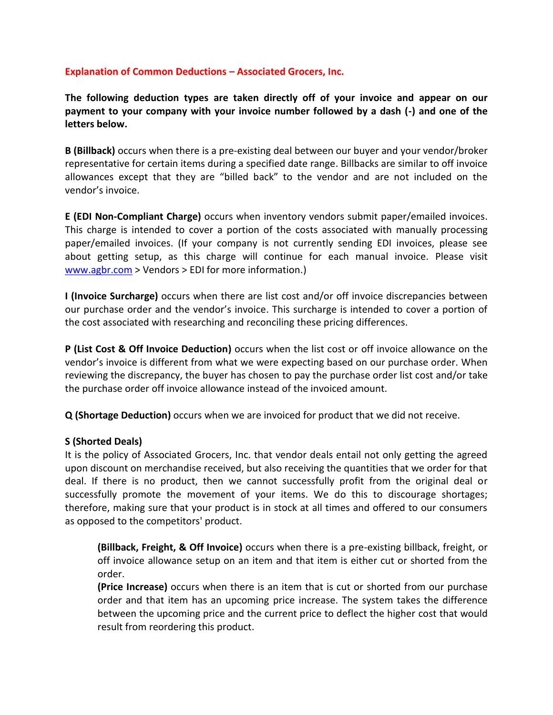## **Explanation of Common Deductions – Associated Grocers, Inc.**

**The following deduction types are taken directly off of your invoice and appear on our payment to your company with your invoice number followed by a dash (-) and one of the letters below.**

**B (Billback)** occurs when there is a pre-existing deal between our buyer and your vendor/broker representative for certain items during a specified date range. Billbacks are similar to off invoice allowances except that they are "billed back" to the vendor and are not included on the vendor's invoice.

**E (EDI Non-Compliant Charge)** occurs when inventory vendors submit paper/emailed invoices. This charge is intended to cover a portion of the costs associated with manually processing paper/emailed invoices. (If your company is not currently sending EDI invoices, please see about getting setup, as this charge will continue for each manual invoice. Please visit [www.agbr.com](http://www.agbr.com/) > Vendors > EDI for more information.)

**I (Invoice Surcharge)** occurs when there are list cost and/or off invoice discrepancies between our purchase order and the vendor's invoice. This surcharge is intended to cover a portion of the cost associated with researching and reconciling these pricing differences.

**P (List Cost & Off Invoice Deduction)** occurs when the list cost or off invoice allowance on the vendor's invoice is different from what we were expecting based on our purchase order. When reviewing the discrepancy, the buyer has chosen to pay the purchase order list cost and/or take the purchase order off invoice allowance instead of the invoiced amount.

**Q (Shortage Deduction)** occurs when we are invoiced for product that we did not receive.

## **S (Shorted Deals)**

It is the policy of Associated Grocers, Inc. that vendor deals entail not only getting the agreed upon discount on merchandise received, but also receiving the quantities that we order for that deal. If there is no product, then we cannot successfully profit from the original deal or successfully promote the movement of your items. We do this to discourage shortages; therefore, making sure that your product is in stock at all times and offered to our consumers as opposed to the competitors' product.

**(Billback, Freight, & Off Invoice)** occurs when there is a pre-existing billback, freight, or off invoice allowance setup on an item and that item is either cut or shorted from the order.

**(Price Increase)** occurs when there is an item that is cut or shorted from our purchase order and that item has an upcoming price increase. The system takes the difference between the upcoming price and the current price to deflect the higher cost that would result from reordering this product.